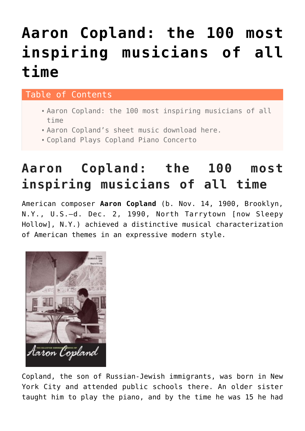# **[Aaron Copland: the 100 most](https://sheetmusiclibrary.website/2021/07/22/aaron-copland-sheet-music/) [inspiring musicians of all](https://sheetmusiclibrary.website/2021/07/22/aaron-copland-sheet-music/) [time](https://sheetmusiclibrary.website/2021/07/22/aaron-copland-sheet-music/)**

#### Table of Contents

- [Aaron Copland: the 100 most inspiring musicians of all](#page--1-0) [time](#page--1-0)
- Aaron Copland's sheet music download here.
- Copland Plays Copland Piano Concerto

# **Aaron Copland: the 100 most inspiring musicians of all time**

American composer **Aaron Copland** (b. Nov. 14, 1900, Brooklyn, N.Y., U.S.—d. Dec. 2, 1990, North Tarrytown [now Sleepy Hollow], N.Y.) achieved a distinctive musical characterization of American themes in an expressive modern style.



Copland, the son of Russian-Jewish immigrants, was born in New York City and attended public schools there. An older sister taught him to play the piano, and by the time he was 15 he had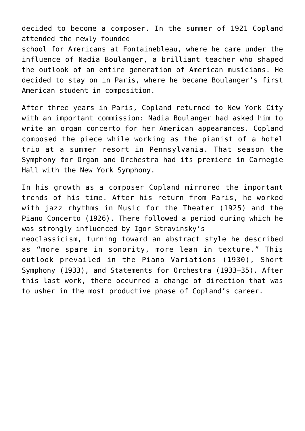decided to become a composer. In the summer of 1921 Copland attended the newly founded school for Americans at Fontainebleau, where he came under the influence of Nadia Boulanger, a brilliant teacher who shaped the outlook of an entire generation of American musicians. He decided to stay on in Paris, where he became Boulanger's first American student in composition.

After three years in Paris, Copland returned to New York City with an important commission: Nadia Boulanger had asked him to write an organ concerto for her American appearances. Copland composed the piece while working as the pianist of a hotel trio at a summer resort in Pennsylvania. That season the Symphony for Organ and Orchestra had its premiere in Carnegie Hall with the New York Symphony.

In his growth as a composer Copland mirrored the important trends of his time. After his return from Paris, he worked with jazz rhythms in Music for the Theater (1925) and the Piano Concerto (1926). There followed a period during which he was strongly influenced by Igor Stravinsky's neoclassicism, turning toward an abstract style he described as "more spare in sonority, more lean in texture." This outlook prevailed in the Piano Variations (1930), Short Symphony (1933), and Statements for Orchestra (1933–35). After

this last work, there occurred a change of direction that was

to usher in the most productive phase of Copland's career.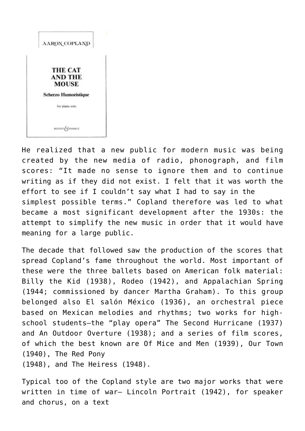

He realized that a new public for modern music was being created by the new media of radio, phonograph, and film scores: "It made no sense to ignore them and to continue writing as if they did not exist. I felt that it was worth the effort to see if I couldn't say what I had to say in the simplest possible terms." Copland therefore was led to what became a most significant development after the 1930s: the attempt to simplify the new music in order that it would have meaning for a large public.

The decade that followed saw the production of the scores that spread Copland's fame throughout the world. Most important of these were the three ballets based on American folk material: Billy the Kid (1938), Rodeo (1942), and Appalachian Spring (1944; commissioned by dancer Martha Graham). To this group belonged also El salón México (1936), an orchestral piece based on Mexican melodies and rhythms; two works for highschool students—the "play opera" The Second Hurricane (1937) and An Outdoor Overture (1938); and a series of film scores, of which the best known are Of Mice and Men (1939), Our Town (1940), The Red Pony (1948), and The Heiress (1948).

Typical too of the Copland style are two major works that were written in time of war— Lincoln Portrait (1942), for speaker and chorus, on a text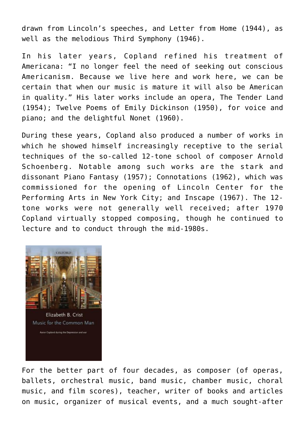drawn from Lincoln's speeches, and Letter from Home (1944), as well as the melodious Third Symphony (1946).

In his later years, Copland refined his treatment of Americana: "I no longer feel the need of seeking out conscious Americanism. Because we live here and work here, we can be certain that when our music is mature it will also be American in quality." His later works include an opera, The Tender Land (1954); Twelve Poems of Emily Dickinson (1950), for voice and piano; and the delightful Nonet (1960).

During these years, Copland also produced a number of works in which he showed himself increasingly receptive to the serial techniques of the so-called 12-tone school of composer Arnold Schoenberg. Notable among such works are the stark and dissonant Piano Fantasy (1957); Connotations (1962), which was commissioned for the opening of Lincoln Center for the Performing Arts in New York City; and Inscape (1967). The 12 tone works were not generally well received; after 1970 Copland virtually stopped composing, though he continued to lecture and to conduct through the mid-1980s.



For the better part of four decades, as composer (of operas, ballets, orchestral music, band music, chamber music, choral music, and film scores), teacher, writer of books and articles on music, organizer of musical events, and a much sought-after